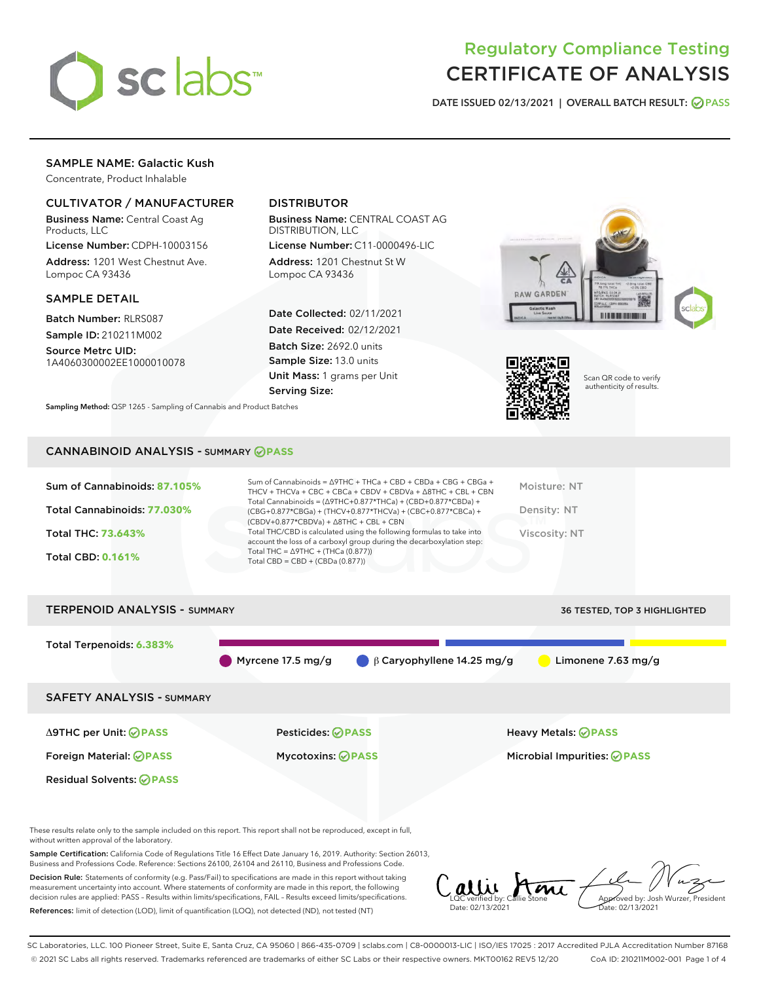

# Regulatory Compliance Testing CERTIFICATE OF ANALYSIS

DATE ISSUED 02/13/2021 | OVERALL BATCH RESULT: @ PASS

# SAMPLE NAME: Galactic Kush

Concentrate, Product Inhalable

## CULTIVATOR / MANUFACTURER

Business Name: Central Coast Ag Products, LLC

License Number: CDPH-10003156 Address: 1201 West Chestnut Ave. Lompoc CA 93436

## SAMPLE DETAIL

Batch Number: RLRS087 Sample ID: 210211M002

Source Metrc UID: 1A4060300002EE1000010078

# DISTRIBUTOR

Business Name: CENTRAL COAST AG DISTRIBUTION, LLC

License Number: C11-0000496-LIC Address: 1201 Chestnut St W Lompoc CA 93436

Date Collected: 02/11/2021 Date Received: 02/12/2021 Batch Size: 2692.0 units Sample Size: 13.0 units Unit Mass: 1 grams per Unit Serving Size:





Scan QR code to verify authenticity of results.

CANNABINOID ANALYSIS - SUMMARY **PASS**

Sampling Method: QSP 1265 - Sampling of Cannabis and Product Batches

| Sum of Cannabinoids: 87.105% | Sum of Cannabinoids = Δ9THC + THCa + CBD + CBDa + CBG + CBGa +<br>THCV + THCVa + CBC + CBCa + CBDV + CBDVa + $\Delta$ 8THC + CBL + CBN                                               | Moisture: NT  |
|------------------------------|--------------------------------------------------------------------------------------------------------------------------------------------------------------------------------------|---------------|
| Total Cannabinoids: 77.030%  | Total Cannabinoids = $(\Delta$ 9THC+0.877*THCa) + (CBD+0.877*CBDa) +<br>(CBG+0.877*CBGa) + (THCV+0.877*THCVa) + (CBC+0.877*CBCa) +<br>$(CBDV+0.877*CBDVa) + \Delta 8THC + CBL + CBN$ | Density: NT   |
| <b>Total THC: 73.643%</b>    | Total THC/CBD is calculated using the following formulas to take into<br>account the loss of a carboxyl group during the decarboxylation step:                                       | Viscosity: NT |
| <b>Total CBD: 0.161%</b>     | Total THC = $\triangle$ 9THC + (THCa (0.877))<br>Total CBD = $CBD + (CBDa (0.877))$                                                                                                  |               |
|                              |                                                                                                                                                                                      |               |

| <b>TERPENOID ANALYSIS - SUMMARY</b> |                           |                                             | <b>36 TESTED, TOP 3 HIGHLIGHTED</b> |
|-------------------------------------|---------------------------|---------------------------------------------|-------------------------------------|
| Total Terpenoids: 6.383%            | Myrcene 17.5 mg/g         | $\bigcirc$ $\beta$ Caryophyllene 14.25 mg/g | Limonene 7.63 mg/g                  |
| <b>SAFETY ANALYSIS - SUMMARY</b>    |                           |                                             |                                     |
| ∆9THC per Unit: ⊘PASS               | Pesticides: <b>⊘</b> PASS |                                             | <b>Heavy Metals: ⊘ PASS</b>         |
| Foreign Material: <b>⊘PASS</b>      | <b>Mycotoxins: ⊘PASS</b>  |                                             | Microbial Impurities: @PASS         |
| <b>Residual Solvents: ⊘PASS</b>     |                           |                                             |                                     |

These results relate only to the sample included on this report. This report shall not be reproduced, except in full, without written approval of the laboratory.

Sample Certification: California Code of Regulations Title 16 Effect Date January 16, 2019. Authority: Section 26013, Business and Professions Code. Reference: Sections 26100, 26104 and 26110, Business and Professions Code.

Decision Rule: Statements of conformity (e.g. Pass/Fail) to specifications are made in this report without taking measurement uncertainty into account. Where statements of conformity are made in this report, the following decision rules are applied: PASS – Results within limits/specifications, FAIL – Results exceed limits/specifications. References: limit of detection (LOD), limit of quantification (LOQ), not detected (ND), not tested (NT)

Callie Ami Date: 02/13/2021 Approved by: Josh Wurzer, President Date: 02/13/2021

SC Laboratories, LLC. 100 Pioneer Street, Suite E, Santa Cruz, CA 95060 | 866-435-0709 | sclabs.com | C8-0000013-LIC | ISO/IES 17025 : 2017 Accredited PJLA Accreditation Number 87168 © 2021 SC Labs all rights reserved. Trademarks referenced are trademarks of either SC Labs or their respective owners. MKT00162 REV5 12/20 CoA ID: 210211M002-001 Page 1 of 4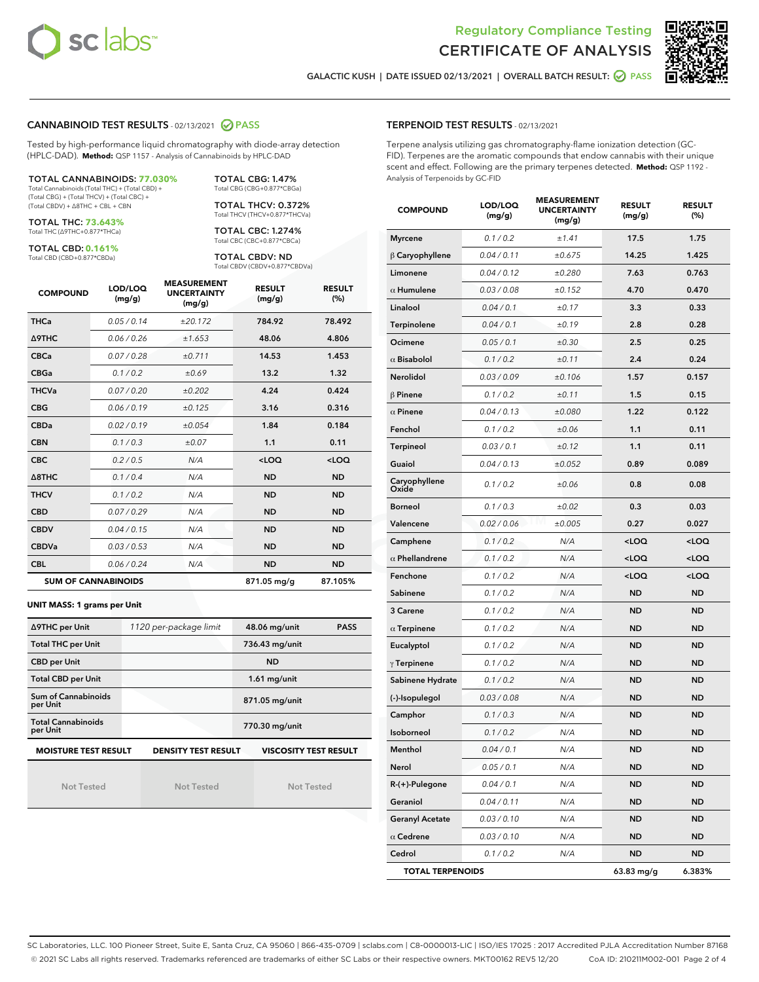



GALACTIC KUSH | DATE ISSUED 02/13/2021 | OVERALL BATCH RESULT: ☑ PASS

## CANNABINOID TEST RESULTS - 02/13/2021 2 PASS

Tested by high-performance liquid chromatography with diode-array detection (HPLC-DAD). **Method:** QSP 1157 - Analysis of Cannabinoids by HPLC-DAD

TOTAL CANNABINOIDS: **77.030%** Total Cannabinoids (Total THC) + (Total CBD) +

(Total CBG) + (Total THCV) + (Total CBC) + (Total CBDV) + ∆8THC + CBL + CBN

TOTAL THC: **73.643%** Total THC (∆9THC+0.877\*THCa)

TOTAL CBD: **0.161%**

Total CBD (CBD+0.877\*CBDa)

TOTAL CBG: 1.47% Total CBG (CBG+0.877\*CBGa) TOTAL THCV: 0.372%

Total THCV (THCV+0.877\*THCVa)

TOTAL CBC: 1.274% Total CBC (CBC+0.877\*CBCa)

TOTAL CBDV: ND Total CBDV (CBDV+0.877\*CBDVa)

| <b>COMPOUND</b>            | LOD/LOQ<br>(mg/g) | <b>MEASUREMENT</b><br><b>UNCERTAINTY</b><br>(mg/g) | <b>RESULT</b><br>(mg/g) | <b>RESULT</b><br>(%) |
|----------------------------|-------------------|----------------------------------------------------|-------------------------|----------------------|
| <b>THCa</b>                | 0.05/0.14         | ±20.172                                            | 784.92                  | 78.492               |
| <b>A9THC</b>               | 0.06 / 0.26       | ±1.653                                             | 48.06                   | 4.806                |
| <b>CBCa</b>                | 0.07 / 0.28       | ±0.711                                             | 14.53                   | 1.453                |
| <b>CBGa</b>                | 0.1/0.2           | ±0.69                                              | 13.2                    | 1.32                 |
| <b>THCVa</b>               | 0.07/0.20         | ±0.202                                             | 4.24                    | 0.424                |
| <b>CBG</b>                 | 0.06/0.19         | ±0.125                                             | 3.16                    | 0.316                |
| <b>CBDa</b>                | 0.02/0.19         | ±0.054                                             | 1.84                    | 0.184                |
| <b>CBN</b>                 | 0.1/0.3           | $\pm 0.07$                                         | 1.1                     | 0.11                 |
| <b>CBC</b>                 | 0.2 / 0.5         | N/A                                                | $<$ LOQ                 | <loq< th=""></loq<>  |
| $\triangle$ 8THC           | 0.1/0.4           | N/A                                                | <b>ND</b>               | <b>ND</b>            |
| <b>THCV</b>                | 0.1/0.2           | N/A                                                | <b>ND</b>               | <b>ND</b>            |
| <b>CBD</b>                 | 0.07/0.29         | N/A                                                | <b>ND</b>               | <b>ND</b>            |
| <b>CBDV</b>                | 0.04/0.15         | N/A                                                | <b>ND</b>               | <b>ND</b>            |
| <b>CBDVa</b>               | 0.03 / 0.53       | N/A                                                | <b>ND</b>               | <b>ND</b>            |
| <b>CBL</b>                 | 0.06 / 0.24       | N/A                                                | <b>ND</b>               | <b>ND</b>            |
| <b>SUM OF CANNABINOIDS</b> |                   |                                                    | 871.05 mg/g             | 87.105%              |

#### **UNIT MASS: 1 grams per Unit**

| ∆9THC per Unit                                                                            | 1120 per-package limit | 48.06 mg/unit<br><b>PASS</b> |  |  |
|-------------------------------------------------------------------------------------------|------------------------|------------------------------|--|--|
| <b>Total THC per Unit</b>                                                                 |                        | 736.43 mg/unit               |  |  |
| <b>CBD per Unit</b>                                                                       |                        | <b>ND</b>                    |  |  |
| <b>Total CBD per Unit</b>                                                                 |                        | $1.61$ mg/unit               |  |  |
| Sum of Cannabinoids<br>per Unit                                                           |                        | 871.05 mg/unit               |  |  |
| <b>Total Cannabinoids</b><br>per Unit                                                     |                        | 770.30 mg/unit               |  |  |
| <b>MOISTURE TEST RESULT</b><br><b>VISCOSITY TEST RESULT</b><br><b>DENSITY TEST RESULT</b> |                        |                              |  |  |

Not Tested

Not Tested

Not Tested

## TERPENOID TEST RESULTS - 02/13/2021

Terpene analysis utilizing gas chromatography-flame ionization detection (GC-FID). Terpenes are the aromatic compounds that endow cannabis with their unique scent and effect. Following are the primary terpenes detected. **Method:** QSP 1192 - Analysis of Terpenoids by GC-FID

| <b>COMPOUND</b>         | LOD/LOQ<br>(mg/g) | <b>MEASUREMENT</b><br><b>UNCERTAINTY</b><br>(mg/g) | <b>RESULT</b><br>(mg/g)                         | <b>RESULT</b><br>(%) |
|-------------------------|-------------------|----------------------------------------------------|-------------------------------------------------|----------------------|
| <b>Myrcene</b>          | 0.1 / 0.2         | ±1.41                                              | 17.5                                            | 1.75                 |
| $\beta$ Caryophyllene   | 0.04 / 0.11       | ±0.675                                             | 14.25                                           | 1.425                |
| Limonene                | 0.04 / 0.12       | ±0.280                                             | 7.63                                            | 0.763                |
| $\alpha$ Humulene       | 0.03 / 0.08       | ±0.152                                             | 4.70                                            | 0.470                |
| Linalool                | 0.04 / 0.1        | ±0.17                                              | 3.3                                             | 0.33                 |
| Terpinolene             | 0.04 / 0.1        | ±0.19                                              | 2.8                                             | 0.28                 |
| Ocimene                 | 0.05 / 0.1        | ±0.30                                              | 2.5                                             | 0.25                 |
| $\alpha$ Bisabolol      | 0.1 / 0.2         | ±0.11                                              | 2.4                                             | 0.24                 |
| Nerolidol               | 0.03 / 0.09       | ±0.106                                             | 1.57                                            | 0.157                |
| $\beta$ Pinene          | 0.1 / 0.2         | ±0.11                                              | 1.5                                             | 0.15                 |
| $\alpha$ Pinene         | 0.04 / 0.13       | ±0.080                                             | 1.22                                            | 0.122                |
| Fenchol                 | 0.1 / 0.2         | ±0.06                                              | 1.1                                             | 0.11                 |
| <b>Terpineol</b>        | 0.03 / 0.1        | ±0.12                                              | 1.1                                             | 0.11                 |
| Guaiol                  | 0.04 / 0.13       | ±0.052                                             | 0.89                                            | 0.089                |
| Caryophyllene<br>Oxide  | 0.1 / 0.2         | ±0.06                                              | 0.8                                             | 0.08                 |
| <b>Borneol</b>          | 0.1 / 0.3         | ±0.02                                              | 0.3                                             | 0.03                 |
| Valencene               | 0.02 / 0.06       | ±0.005                                             | 0.27                                            | 0.027                |
| Camphene                | 0.1 / 0.2         | N/A                                                | <loq< td=""><td><loq< td=""></loq<></td></loq<> | <loq< td=""></loq<>  |
| $\alpha$ Phellandrene   | 0.1 / 0.2         | N/A                                                | <loq< td=""><td><loq< td=""></loq<></td></loq<> | <loq< td=""></loq<>  |
| Fenchone                | 0.1 / 0.2         | N/A                                                | <loq< td=""><td><loq< td=""></loq<></td></loq<> | <loq< td=""></loq<>  |
| Sabinene                | 0.1 / 0.2         | N/A                                                | <b>ND</b>                                       | ND                   |
| 3 Carene                | 0.1 / 0.2         | N/A                                                | <b>ND</b>                                       | <b>ND</b>            |
| $\alpha$ Terpinene      | 0.1 / 0.2         | N/A                                                | <b>ND</b>                                       | <b>ND</b>            |
| Eucalyptol              | 0.1 / 0.2         | N/A                                                | ND                                              | <b>ND</b>            |
| $\gamma$ Terpinene      | 0.1 / 0.2         | N/A                                                | <b>ND</b>                                       | <b>ND</b>            |
| Sabinene Hydrate        | 0.1 / 0.2         | N/A                                                | <b>ND</b>                                       | <b>ND</b>            |
| (-)-Isopulegol          | 0.03 / 0.08       | N/A                                                | ND                                              | ND                   |
| Camphor                 | 0.1 / 0.3         | N/A                                                | <b>ND</b>                                       | <b>ND</b>            |
| Isoborneol              | 0.1 / 0.2         | N/A                                                | <b>ND</b>                                       | <b>ND</b>            |
| Menthol                 | 0.04 / 0.1        | N/A                                                | <b>ND</b>                                       | <b>ND</b>            |
| Nerol                   | 0.05 / 0.1        | N/A                                                | ND                                              | ND                   |
| R-(+)-Pulegone          | 0.04 / 0.1        | N/A                                                | ND                                              | <b>ND</b>            |
| Geraniol                | 0.04 / 0.11       | N/A                                                | ND                                              | ND                   |
| <b>Geranyl Acetate</b>  | 0.03 / 0.10       | N/A                                                | ND                                              | <b>ND</b>            |
| $\alpha$ Cedrene        | 0.03 / 0.10       | N/A                                                | ND                                              | ND                   |
| Cedrol                  | 0.1 / 0.2         | N/A                                                | ND                                              | ND                   |
| <b>TOTAL TERPENOIDS</b> |                   |                                                    | 63.83 mg/g                                      | 6.383%               |

SC Laboratories, LLC. 100 Pioneer Street, Suite E, Santa Cruz, CA 95060 | 866-435-0709 | sclabs.com | C8-0000013-LIC | ISO/IES 17025 : 2017 Accredited PJLA Accreditation Number 87168 © 2021 SC Labs all rights reserved. Trademarks referenced are trademarks of either SC Labs or their respective owners. MKT00162 REV5 12/20 CoA ID: 210211M002-001 Page 2 of 4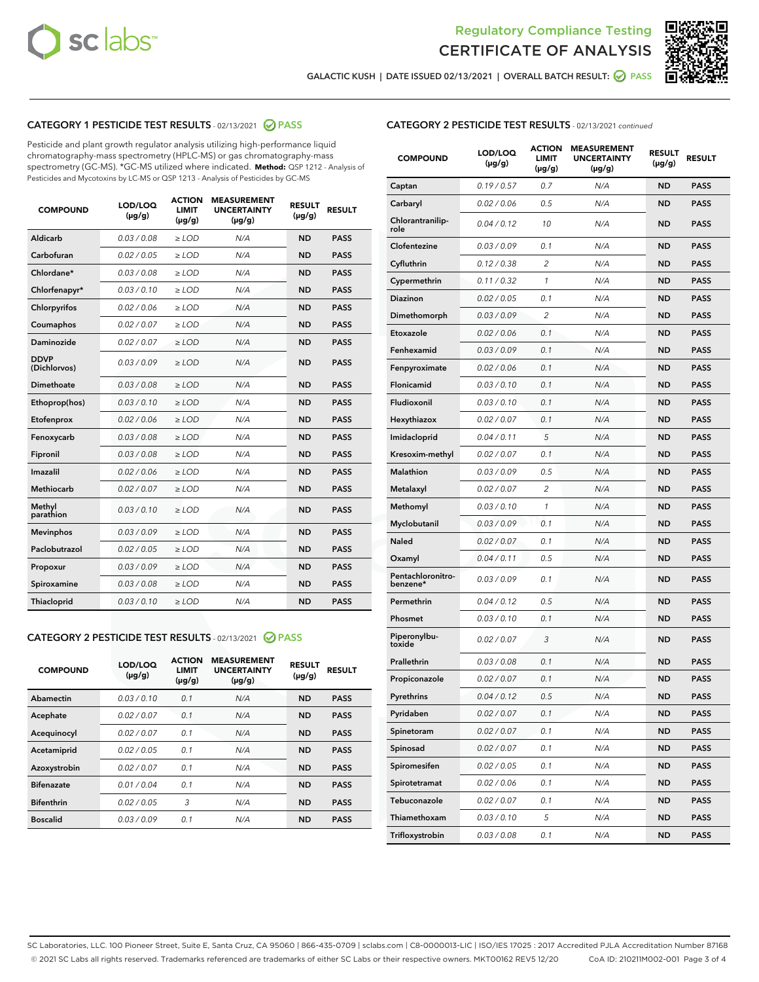



GALACTIC KUSH | DATE ISSUED 02/13/2021 | OVERALL BATCH RESULT:  $\bigcirc$  PASS

# CATEGORY 1 PESTICIDE TEST RESULTS - 02/13/2021 2 PASS

Pesticide and plant growth regulator analysis utilizing high-performance liquid chromatography-mass spectrometry (HPLC-MS) or gas chromatography-mass spectrometry (GC-MS). \*GC-MS utilized where indicated. **Method:** QSP 1212 - Analysis of Pesticides and Mycotoxins by LC-MS or QSP 1213 - Analysis of Pesticides by GC-MS

| <b>COMPOUND</b>             | LOD/LOQ<br>$(\mu g/g)$ | <b>ACTION</b><br>LIMIT<br>$(\mu g/g)$ | <b>MEASUREMENT</b><br><b>UNCERTAINTY</b><br>$(\mu g/g)$ | <b>RESULT</b><br>$(\mu g/g)$ | <b>RESULT</b> |
|-----------------------------|------------------------|---------------------------------------|---------------------------------------------------------|------------------------------|---------------|
| Aldicarb                    | 0.03 / 0.08            | $\ge$ LOD                             | N/A                                                     | <b>ND</b>                    | <b>PASS</b>   |
| Carbofuran                  | 0.02 / 0.05            | $\ge$ LOD                             | N/A                                                     | <b>ND</b>                    | <b>PASS</b>   |
| Chlordane*                  | 0.03 / 0.08            | $\ge$ LOD                             | N/A                                                     | <b>ND</b>                    | <b>PASS</b>   |
| Chlorfenapyr*               | 0.03/0.10              | $\ge$ LOD                             | N/A                                                     | <b>ND</b>                    | <b>PASS</b>   |
| Chlorpyrifos                | 0.02 / 0.06            | $\ge$ LOD                             | N/A                                                     | <b>ND</b>                    | <b>PASS</b>   |
| Coumaphos                   | 0.02 / 0.07            | $\ge$ LOD                             | N/A                                                     | <b>ND</b>                    | <b>PASS</b>   |
| Daminozide                  | 0.02/0.07              | $\ge$ LOD                             | N/A                                                     | <b>ND</b>                    | <b>PASS</b>   |
| <b>DDVP</b><br>(Dichlorvos) | 0.03/0.09              | $\ge$ LOD                             | N/A                                                     | <b>ND</b>                    | <b>PASS</b>   |
| Dimethoate                  | 0.03 / 0.08            | $>$ LOD                               | N/A                                                     | <b>ND</b>                    | <b>PASS</b>   |
| Ethoprop(hos)               | 0.03/0.10              | $\ge$ LOD                             | N/A                                                     | <b>ND</b>                    | <b>PASS</b>   |
| Etofenprox                  | 0.02/0.06              | $>$ LOD                               | N/A                                                     | <b>ND</b>                    | <b>PASS</b>   |
| Fenoxycarb                  | 0.03/0.08              | $>$ LOD                               | N/A                                                     | <b>ND</b>                    | <b>PASS</b>   |
| Fipronil                    | 0.03 / 0.08            | $>$ LOD                               | N/A                                                     | <b>ND</b>                    | <b>PASS</b>   |
| Imazalil                    | 0.02/0.06              | $>$ LOD                               | N/A                                                     | <b>ND</b>                    | <b>PASS</b>   |
| <b>Methiocarb</b>           | 0.02 / 0.07            | $\ge$ LOD                             | N/A                                                     | <b>ND</b>                    | <b>PASS</b>   |
| Methyl<br>parathion         | 0.03/0.10              | $\ge$ LOD                             | N/A                                                     | <b>ND</b>                    | <b>PASS</b>   |
| <b>Mevinphos</b>            | 0.03/0.09              | $\ge$ LOD                             | N/A                                                     | <b>ND</b>                    | <b>PASS</b>   |
| Paclobutrazol               | 0.02 / 0.05            | $\ge$ LOD                             | N/A                                                     | <b>ND</b>                    | <b>PASS</b>   |
| Propoxur                    | 0.03 / 0.09            | $\ge$ LOD                             | N/A                                                     | <b>ND</b>                    | <b>PASS</b>   |
| Spiroxamine                 | 0.03 / 0.08            | $\ge$ LOD                             | N/A                                                     | <b>ND</b>                    | <b>PASS</b>   |
| Thiacloprid                 | 0.03/0.10              | $\ge$ LOD                             | N/A                                                     | <b>ND</b>                    | <b>PASS</b>   |

## CATEGORY 2 PESTICIDE TEST RESULTS - 02/13/2021 @ PASS

| <b>COMPOUND</b>   | LOD/LOQ<br>$(\mu g/g)$ | <b>ACTION</b><br><b>LIMIT</b><br>$(\mu g/g)$ | <b>MEASUREMENT</b><br><b>UNCERTAINTY</b><br>$(\mu g/g)$ | <b>RESULT</b><br>$(\mu g/g)$ | <b>RESULT</b> |
|-------------------|------------------------|----------------------------------------------|---------------------------------------------------------|------------------------------|---------------|
| Abamectin         | 0.03/0.10              | 0.1                                          | N/A                                                     | <b>ND</b>                    | <b>PASS</b>   |
| Acephate          | 0.02/0.07              | 0.1                                          | N/A                                                     | <b>ND</b>                    | <b>PASS</b>   |
| Acequinocyl       | 0.02/0.07              | 0.1                                          | N/A                                                     | <b>ND</b>                    | <b>PASS</b>   |
| Acetamiprid       | 0.02/0.05              | 0.1                                          | N/A                                                     | <b>ND</b>                    | <b>PASS</b>   |
| Azoxystrobin      | 0.02/0.07              | 0.1                                          | N/A                                                     | <b>ND</b>                    | <b>PASS</b>   |
| <b>Bifenazate</b> | 0.01/0.04              | 0.1                                          | N/A                                                     | <b>ND</b>                    | <b>PASS</b>   |
| <b>Bifenthrin</b> | 0.02/0.05              | 3                                            | N/A                                                     | <b>ND</b>                    | <b>PASS</b>   |
| <b>Boscalid</b>   | 0.03/0.09              | 0.1                                          | N/A                                                     | <b>ND</b>                    | <b>PASS</b>   |

|  | <b>CATEGORY 2 PESTICIDE TEST RESULTS</b> - 02/13/2021 continued |  |  |  |
|--|-----------------------------------------------------------------|--|--|--|
|--|-----------------------------------------------------------------|--|--|--|

| <b>COMPOUND</b>               | LOD/LOQ<br>(µg/g) | <b>ACTION</b><br>LIMIT<br>(µg/g) | <b>MEASUREMENT</b><br><b>UNCERTAINTY</b><br>(µg/g) | <b>RESULT</b><br>(µg/g) | <b>RESULT</b> |
|-------------------------------|-------------------|----------------------------------|----------------------------------------------------|-------------------------|---------------|
| Captan                        | 0.19 / 0.57       | 0.7                              | N/A                                                | <b>ND</b>               | <b>PASS</b>   |
| Carbaryl                      | 0.02 / 0.06       | 0.5                              | N/A                                                | <b>ND</b>               | <b>PASS</b>   |
| Chlorantranilip-<br>role      | 0.04 / 0.12       | 10                               | N/A                                                | ND                      | <b>PASS</b>   |
| Clofentezine                  | 0.03 / 0.09       | 0.1                              | N/A                                                | <b>ND</b>               | <b>PASS</b>   |
| Cyfluthrin                    | 0.12 / 0.38       | $\overline{c}$                   | N/A                                                | <b>ND</b>               | <b>PASS</b>   |
| Cypermethrin                  | 0.11 / 0.32       | 1                                | N/A                                                | <b>ND</b>               | <b>PASS</b>   |
| Diazinon                      | 0.02 / 0.05       | 0.1                              | N/A                                                | <b>ND</b>               | <b>PASS</b>   |
| Dimethomorph                  | 0.03 / 0.09       | 2                                | N/A                                                | <b>ND</b>               | <b>PASS</b>   |
| Etoxazole                     | 0.02 / 0.06       | 0.1                              | N/A                                                | <b>ND</b>               | <b>PASS</b>   |
| Fenhexamid                    | 0.03 / 0.09       | 0.1                              | N/A                                                | <b>ND</b>               | <b>PASS</b>   |
| Fenpyroximate                 | 0.02 / 0.06       | 0.1                              | N/A                                                | <b>ND</b>               | <b>PASS</b>   |
| Flonicamid                    | 0.03/0.10         | 0.1                              | N/A                                                | <b>ND</b>               | <b>PASS</b>   |
| Fludioxonil                   | 0.03 / 0.10       | 0.1                              | N/A                                                | <b>ND</b>               | <b>PASS</b>   |
| Hexythiazox                   | 0.02 / 0.07       | 0.1                              | N/A                                                | <b>ND</b>               | <b>PASS</b>   |
| Imidacloprid                  | 0.04 / 0.11       | 5                                | N/A                                                | <b>ND</b>               | <b>PASS</b>   |
| Kresoxim-methyl               | 0.02 / 0.07       | 0.1                              | N/A                                                | <b>ND</b>               | <b>PASS</b>   |
| Malathion                     | 0.03 / 0.09       | 0.5                              | N/A                                                | <b>ND</b>               | <b>PASS</b>   |
| Metalaxyl                     | 0.02 / 0.07       | 2                                | N/A                                                | <b>ND</b>               | <b>PASS</b>   |
| Methomyl                      | 0.03 / 0.10       | 1                                | N/A                                                | <b>ND</b>               | <b>PASS</b>   |
| Myclobutanil                  | 0.03 / 0.09       | 0.1                              | N/A                                                | <b>ND</b>               | <b>PASS</b>   |
| Naled                         | 0.02 / 0.07       | 0.1                              | N/A                                                | <b>ND</b>               | <b>PASS</b>   |
| Oxamyl                        | 0.04 / 0.11       | 0.5                              | N/A                                                | <b>ND</b>               | <b>PASS</b>   |
| Pentachloronitro-<br>benzene* | 0.03 / 0.09       | 0.1                              | N/A                                                | <b>ND</b>               | <b>PASS</b>   |
| Permethrin                    | 0.04 / 0.12       | 0.5                              | N/A                                                | <b>ND</b>               | <b>PASS</b>   |
| Phosmet                       | 0.03 / 0.10       | 0.1                              | N/A                                                | <b>ND</b>               | <b>PASS</b>   |
| Piperonylbu-<br>toxide        | 0.02 / 0.07       | 3                                | N/A                                                | <b>ND</b>               | <b>PASS</b>   |
| Prallethrin                   | 0.03 / 0.08       | 0.1                              | N/A                                                | <b>ND</b>               | <b>PASS</b>   |
| Propiconazole                 | 0.02 / 0.07       | 0.1                              | N/A                                                | <b>ND</b>               | <b>PASS</b>   |
| Pyrethrins                    | 0.04 / 0.12       | 0.5                              | N/A                                                | <b>ND</b>               | PASS          |
| Pyridaben                     | 0.02 / 0.07       | 0.1                              | N/A                                                | <b>ND</b>               | <b>PASS</b>   |
| Spinetoram                    | 0.02 / 0.07       | 0.1                              | N/A                                                | <b>ND</b>               | <b>PASS</b>   |
| Spinosad                      | 0.02 / 0.07       | 0.1                              | N/A                                                | <b>ND</b>               | <b>PASS</b>   |
| Spiromesifen                  | 0.02 / 0.05       | 0.1                              | N/A                                                | <b>ND</b>               | <b>PASS</b>   |
| Spirotetramat                 | 0.02 / 0.06       | 0.1                              | N/A                                                | <b>ND</b>               | <b>PASS</b>   |
| Tebuconazole                  | 0.02 / 0.07       | 0.1                              | N/A                                                | ND                      | <b>PASS</b>   |
| Thiamethoxam                  | 0.03 / 0.10       | 5                                | N/A                                                | <b>ND</b>               | <b>PASS</b>   |
| Trifloxystrobin               | 0.03 / 0.08       | 0.1                              | N/A                                                | <b>ND</b>               | <b>PASS</b>   |